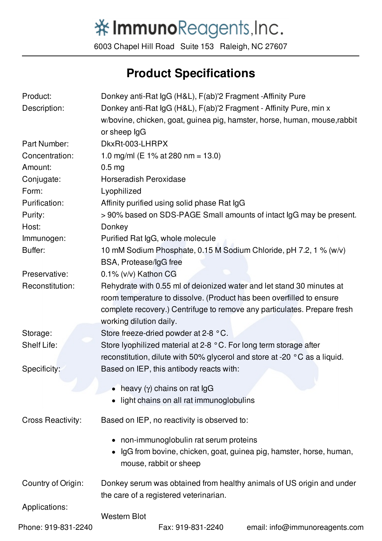## 举ImmunoReagents, Inc.

6003 Chapel Hill Road Suite 153 Raleigh, NC 27607

## **Product Specifications**

| Product:                 | Donkey anti-Rat IgG (H&L), F(ab)'2 Fragment -Affinity Pure                |
|--------------------------|---------------------------------------------------------------------------|
| Description:             | Donkey anti-Rat IgG (H&L), F(ab)'2 Fragment - Affinity Pure, min x        |
|                          | w/bovine, chicken, goat, guinea pig, hamster, horse, human, mouse, rabbit |
|                          | or sheep IgG                                                              |
| Part Number:             | DkxRt-003-LHRPX                                                           |
| Concentration:           | 1.0 mg/ml (E 1% at 280 nm = 13.0)                                         |
| Amount:                  | 0.5 <sub>mg</sub>                                                         |
| Conjugate:               | <b>Horseradish Peroxidase</b>                                             |
| Form:                    | Lyophilized                                                               |
| Purification:            | Affinity purified using solid phase Rat IgG                               |
| Purity:                  | >90% based on SDS-PAGE Small amounts of intact IgG may be present.        |
| Host:                    | Donkey                                                                    |
| Immunogen:               | Purified Rat IgG, whole molecule                                          |
| Buffer:                  | 10 mM Sodium Phosphate, 0.15 M Sodium Chloride, pH 7.2, 1 % (w/v)         |
|                          | BSA, Protease/IgG free                                                    |
| Preservative:            | 0.1% (v/v) Kathon CG                                                      |
| Reconstitution:          | Rehydrate with 0.55 ml of deionized water and let stand 30 minutes at     |
|                          | room temperature to dissolve. (Product has been overfilled to ensure      |
|                          | complete recovery.) Centrifuge to remove any particulates. Prepare fresh  |
|                          | working dilution daily.                                                   |
| Storage:                 | Store freeze-dried powder at 2-8 °C.                                      |
| Shelf Life:              | Store lyophilized material at 2-8 °C. For long term storage after         |
|                          | reconstitution, dilute with 50% glycerol and store at -20 °C as a liquid. |
| Specificity:             | Based on IEP, this antibody reacts with:                                  |
|                          | heavy $(\gamma)$ chains on rat IgG                                        |
|                          | light chains on all rat immunoglobulins                                   |
|                          |                                                                           |
| <b>Cross Reactivity:</b> | Based on IEP, no reactivity is observed to:                               |
|                          | • non-immunoglobulin rat serum proteins                                   |
|                          | IgG from bovine, chicken, goat, guinea pig, hamster, horse, human,        |
|                          | mouse, rabbit or sheep                                                    |
|                          |                                                                           |
| Country of Origin:       | Donkey serum was obtained from healthy animals of US origin and under     |
|                          | the care of a registered veterinarian.                                    |
| Applications:            | <b>Western Blot</b>                                                       |
| Phone: 919-831-2240      | Fax: 919-831-2240<br>email: info@immunoreagents.com                       |
|                          |                                                                           |